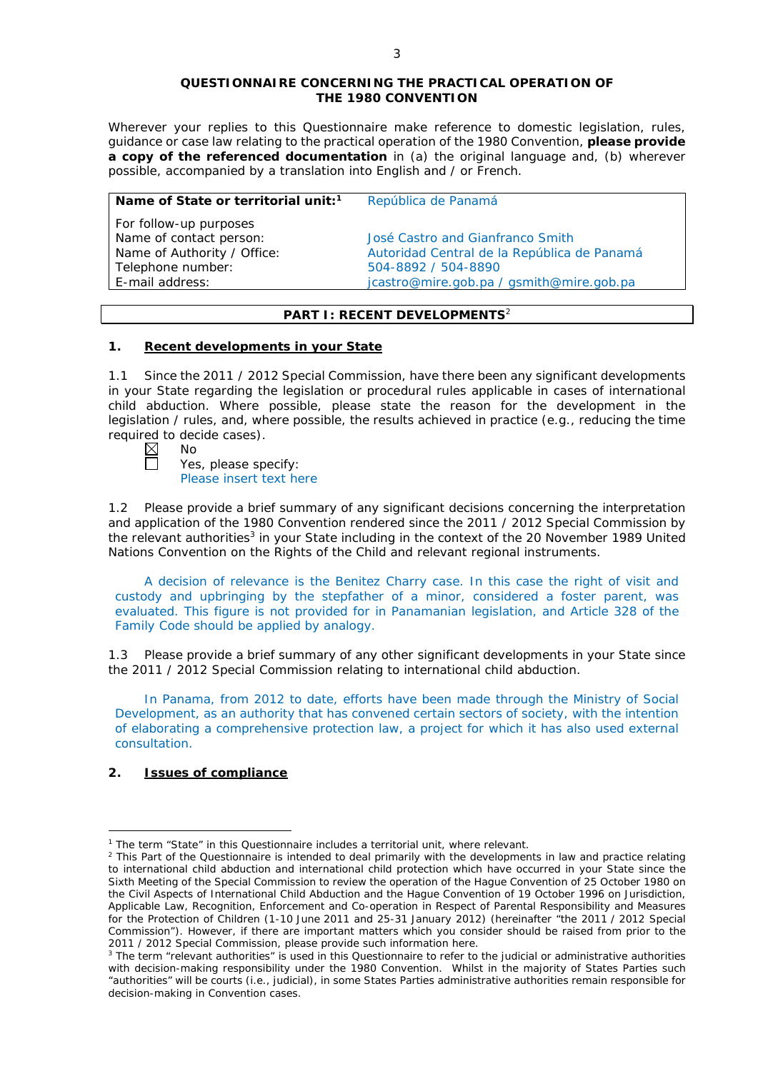#### **QUESTIONNAIRE CONCERNING THE PRACTICAL OPERATION OF THE 1980 CONVENTION**

*Wherever your replies to this Questionnaire make reference to domestic legislation, rules, guidance or case law relating to the practical operation of the 1980 Convention, please provide a copy of the referenced documentation in (a) the original language and, (b) wherever possible, accompanied by a translation into English and / or French.* 

| Name of State or territorial unit: <sup>1</sup>   | República de Panamá                         |
|---------------------------------------------------|---------------------------------------------|
| For follow-up purposes<br>Name of contact person: | José Castro and Gianfranco Smith            |
| Name of Authority / Office:                       | Autoridad Central de la República de Panamá |
| Telephone number:                                 | 504-8892 / 504-8890                         |
| E-mail address:                                   | jcastro@mire.gob.pa / gsmith@mire.gob.pa    |
|                                                   |                                             |

# **PART I: RECENT DEVELOPMENTS**<sup>2</sup>

## **1. Recent developments in your State**

1.1 Since the 2011 / 2012 Special Commission, have there been any significant developments in your State regarding the legislation or procedural rules applicable in cases of international child abduction. Where possible, please state the reason for the development in the legislation / rules, and, where possible, the results achieved in practice (*e.g.*, reducing the time required to decide cases).

| D<br>× | Nn |
|--------|----|
|        |    |

П

Yes, please specify: Please insert text here

1.2 Please provide a brief summary of any significant decisions concerning the interpretation and application of the 1980 Convention rendered since the 2011 / 2012 Special Commission by the relevant authorities<sup>3</sup> in your State including in the context of the 20 November 1989 United Nations Convention on the Rights of the Child and relevant regional instruments.

A decision of relevance is the Benitez Charry case. In this case the right of visit and custody and upbringing by the stepfather of a minor, considered a foster parent, was evaluated. This figure is not provided for in Panamanian legislation, and Article 328 of the Family Code should be applied by analogy.

1.3 Please provide a brief summary of any other significant developments in your State since the 2011 / 2012 Special Commission relating to international child abduction.

In Panama, from 2012 to date, efforts have been made through the Ministry of Social Development, as an authority that has convened certain sectors of society, with the intention of elaborating a comprehensive protection law, a project for which it has also used external consultation.

# **2. Issues of compliance**

<u>.</u>

<sup>&</sup>lt;sup>1</sup> The term "State" in this Questionnaire includes a territorial unit, where relevant.

 $<sup>2</sup>$  This Part of the Questionnaire is intended to deal primarily with the developments in law and practice relating</sup> to international child abduction and international child protection which have occurred in your State since the Sixth Meeting of the Special Commission to review the operation of the *Hague Convention of 25 October 1980 on the Civil Aspects of International Child Abduction* and the *Hague Convention of 19 October 1996 on Jurisdiction, Applicable Law, Recognition, Enforcement and Co-operation in Respect of Parental Responsibility and Measures for the Protection of Children* (1-10 June 2011 and 25-31 January 2012) (hereinafter "the 2011 / 2012 Special Commission"). However, if there are important matters which you consider should be raised from *prior to* the 2011 / 2012 Special Commission, please provide such information here.

<sup>&</sup>lt;sup>3</sup> The term "relevant authorities" is used in this Questionnaire to refer to the judicial or administrative authorities with decision-making responsibility under the 1980 Convention. Whilst in the majority of States Parties such "authorities" will be courts (*i.e.*, judicial), in some States Parties administrative authorities remain responsible for decision-making in Convention cases.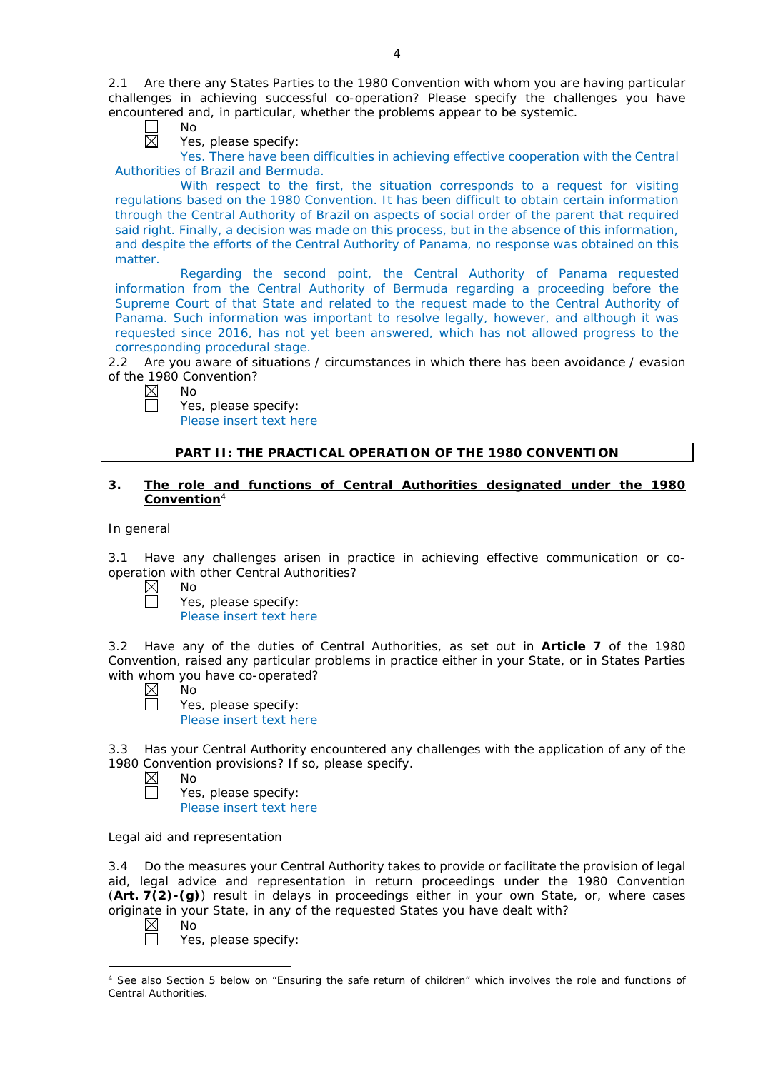2.1 Are there any States Parties to the 1980 Convention with whom you are having particular challenges in achieving successful co-operation? Please specify the challenges you have encountered and, in particular, whether the problems appear to be systemic.

Г No 岗

Yes, please specify:

Yes. There have been difficulties in achieving effective cooperation with the Central Authorities of Brazil and Bermuda.

With respect to the first, the situation corresponds to a request for visiting regulations based on the 1980 Convention. It has been difficult to obtain certain information through the Central Authority of Brazil on aspects of social order of the parent that required said right. Finally, a decision was made on this process, but in the absence of this information, and despite the efforts of the Central Authority of Panama, no response was obtained on this matter.

Regarding the second point, the Central Authority of Panama requested information from the Central Authority of Bermuda regarding a proceeding before the Supreme Court of that State and related to the request made to the Central Authority of Panama. Such information was important to resolve legally, however, and although it was requested since 2016, has not yet been answered, which has not allowed progress to the corresponding procedural stage.

2.2 Are you aware of situations / circumstances in which there has been avoidance / evasion of the 1980 Convention?

No

Yes, please specify:

Please insert text here

# **PART II: THE PRACTICAL OPERATION OF THE 1980 CONVENTION**

## **3. The role and functions of Central Authorities designated under the 1980 Convention**<sup>4</sup>

*In general*

3.1 Have any challenges arisen in practice in achieving effective communication or cooperation with other Central Authorities?<br>  $\boxtimes$  No<br>
Yes, please specify:

| b |  |  |
|---|--|--|
|   |  |  |

|  | Yes, please specify: |
|--|----------------------|
|  |                      |

Please insert text here

3.2 Have any of the duties of Central Authorities, as set out in **Article 7** of the 1980 Convention, raised any particular problems in practice either in your State, or in States Parties with whom you have co-operated?

- $\boxtimes$ No  $\Box$ 
	- Yes, please specify: Please insert text here

3.3 Has your Central Authority encountered any challenges with the application of any of the 1980 Convention provisions? If so, please specify.

 $\boxtimes$ No П

Yes, please specify: Please insert text here

*Legal aid and representation*

3.4 Do the measures your Central Authority takes to provide or facilitate the provision of legal aid, legal advice and representation in return proceedings under the 1980 Convention (**Art. 7(2)-(g)**) result in delays in proceedings either in your own State, or, where cases originate in your State, in any of the requested States you have dealt with?<br>  $\boxtimes$  No

No

Yes, please specify:

<sup>-</sup><sup>4</sup> See also Section 5 below on "Ensuring the safe return of children" which involves the role and functions of Central Authorities.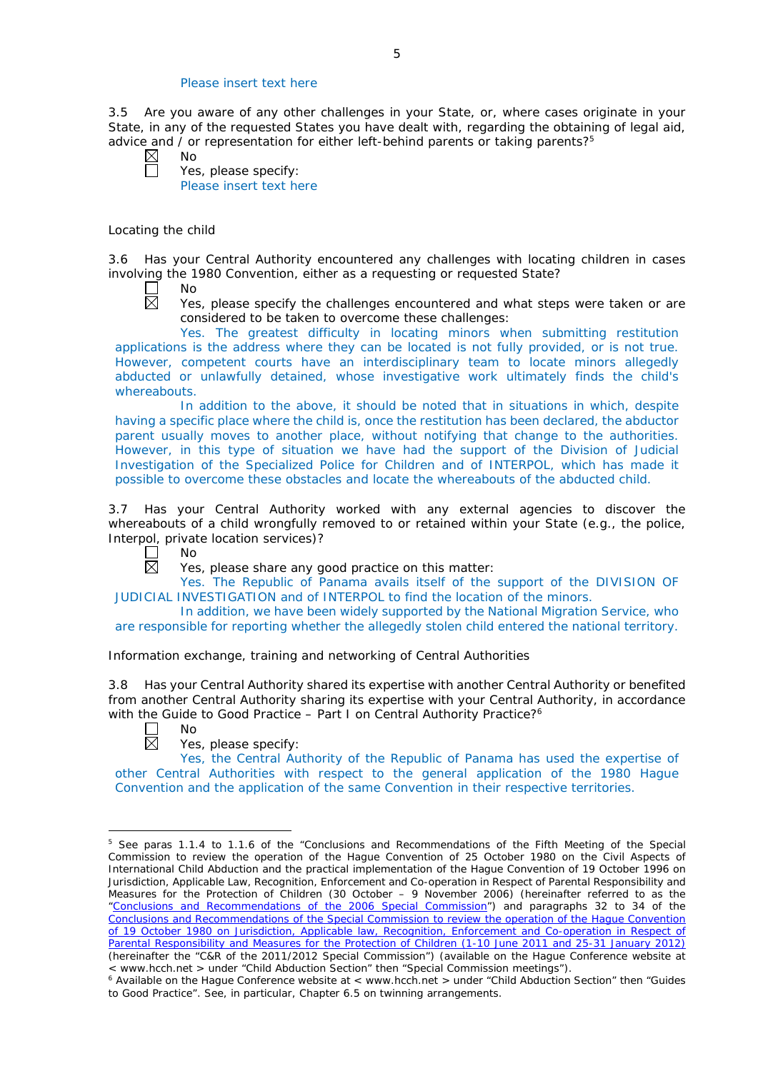## Please insert text here

3.5 Are you aware of any other challenges in your State, or, where cases originate in your State, in any of the requested States you have dealt with, regarding the obtaining of legal aid, advice and  $\overline{\phantom{a}}$  or representation for either left-behind parents or taking parents?<sup>5</sup><br>  $\overline{\phantom{a}}$  No<br>  $\overline{\phantom{a}}$  Yes, please specify:

| ◁ | No  |      |
|---|-----|------|
|   | Yes | nle: |

Yes, please specify: Please insert text here

## *Locating the child*

3.6 Has your Central Authority encountered any challenges with locating children in cases involving the 1980 Convention, either as a requesting or requested State?

┌ No  $\boxtimes$ 

Yes, please specify the challenges encountered and what steps were taken or are considered to be taken to overcome these challenges:

Yes. The greatest difficulty in locating minors when submitting restitution applications is the address where they can be located is not fully provided, or is not true. However, competent courts have an interdisciplinary team to locate minors allegedly abducted or unlawfully detained, whose investigative work ultimately finds the child's whereabouts.

In addition to the above, it should be noted that in situations in which, despite having a specific place where the child is, once the restitution has been declared, the abductor parent usually moves to another place, without notifying that change to the authorities. However, in this type of situation we have had the support of the Division of Judicial Investigation of the Specialized Police for Children and of INTERPOL, which has made it possible to overcome these obstacles and locate the whereabouts of the abducted child.

3.7 Has your Central Authority worked with any external agencies to discover the whereabouts of a child wrongfully removed to or retained within your State (*e.g.*, the police, Interpol, private location services)?

 $\mathbf{L}$ No 岗

Yes, please share any good practice on this matter:

Yes. The Republic of Panama avails itself of the support of the DIVISION OF JUDICIAL INVESTIGATION and of INTERPOL to find the location of the minors.

In addition, we have been widely supported by the National Migration Service, who are responsible for reporting whether the allegedly stolen child entered the national territory.

## *Information exchange, training and networking of Central Authorities*

3.8 Has your Central Authority shared its expertise with another Central Authority or benefited from another Central Authority sharing its expertise with your Central Authority, in accordance with the Guide to Good Practice - Part I on Central Authority Practice?<sup>6</sup>

 $\Box$ No  $\overline{\boxtimes}$ 

<u>.</u>

# Yes, please specify:

Yes, the Central Authority of the Republic of Panama has used the expertise of other Central Authorities with respect to the general application of the 1980 Hague Convention and the application of the same Convention in their respective territories.

<sup>5</sup> See paras 1.1.4 to 1.1.6 of the "Conclusions and Recommendations of the Fifth Meeting of the Special Commission to review the operation of the *Hague Convention of 25 October 1980 on the Civil Aspects of International Child Abduction* and the practical implementation of the *Hague Convention of 19 October 1996 on Jurisdiction, Applicable Law, Recognition, Enforcement and Co-operation in Respect of Parental Responsibility and Measures for the Protection of Children* (30 October – 9 November 2006) (hereinafter referred to as the ["Conclusions and Recommendations of the 2006 Special Commission"](https://assets.hcch.net/upload/concl28sc5_e.pdf)) and paragraphs 32 to 34 of the [Conclusions and Recommendations of the Special Commission](https://assets.hcch.net/upload/wop/concl28sc6_e.pdf) to review the operation of the Hague Convention of *[19 October 1980 on Jurisdiction, Applicable law, Recognition, Enforcement and Co-operation in Respect of](https://assets.hcch.net/upload/wop/concl28sc6_e.pdf)  [Parental Responsibility and Measures for the Protection of Children](https://assets.hcch.net/upload/wop/concl28sc6_e.pdf)* (1-10 June 2011 and 25-31 January 2012) (hereinafter the "C&R of the 2011/2012 Special Commission") (available on the Hague Conference website at

<sup>&</sup>lt; www.hcch.net > under "Child Abduction Section" then "Special Commission meetings"). 6 Available on the Hague Conference website at < www.hcch.net > under "Child Abduction Section" then "Guides

to Good Practice". See, in particular, Chapter 6.5 on twinning arrangements.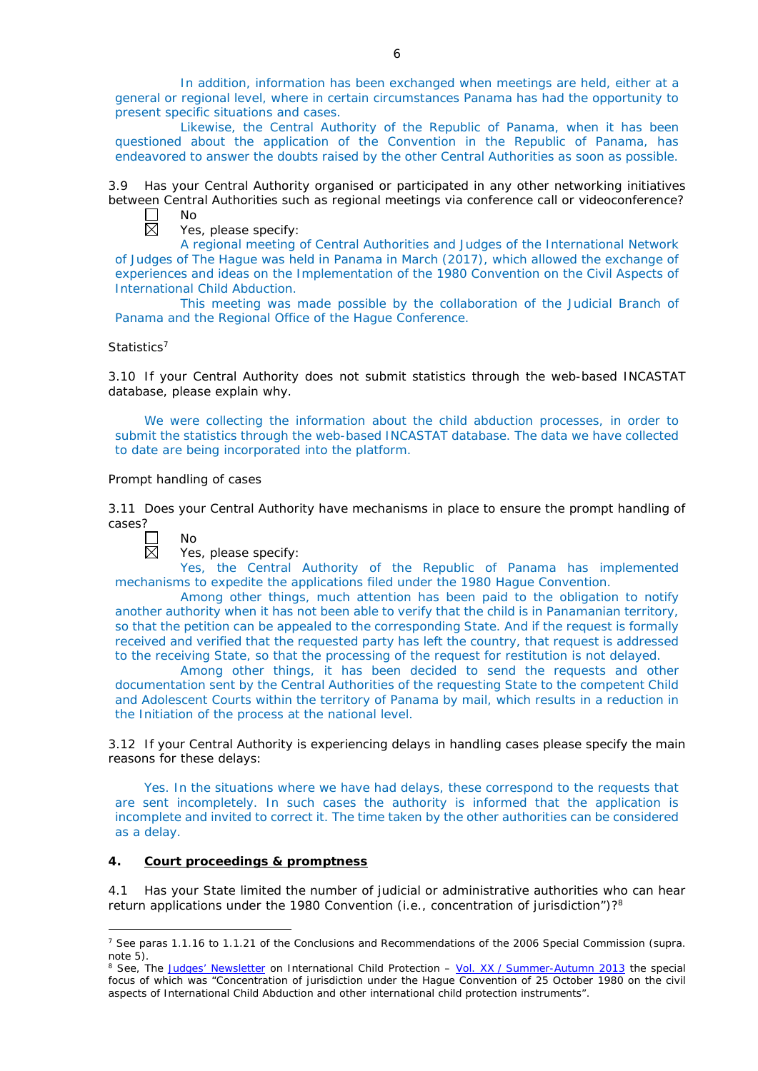In addition, information has been exchanged when meetings are held, either at a general or regional level, where in certain circumstances Panama has had the opportunity to present specific situations and cases.

Likewise, the Central Authority of the Republic of Panama, when it has been questioned about the application of the Convention in the Republic of Panama, has endeavored to answer the doubts raised by the other Central Authorities as soon as possible.

3.9 Has your Central Authority organised or participated in any other networking initiatives between Central Authorities such as regional meetings via conference call or videoconference?

 $\Box$ No  $\overline{\boxtimes}$ 

Yes, please specify:

A regional meeting of Central Authorities and Judges of the International Network of Judges of The Hague was held in Panama in March (2017), which allowed the exchange of experiences and ideas on the Implementation of the 1980 Convention on the Civil Aspects of International Child Abduction.

This meeting was made possible by the collaboration of the Judicial Branch of Panama and the Regional Office of the Hague Conference.

## *Statistics*<sup>7</sup>

3.10 If your Central Authority does not submit statistics through the web-based INCASTAT database, please explain why.

We were collecting the information about the child abduction processes, in order to submit the statistics through the web-based INCASTAT database. The data we have collected to date are being incorporated into the platform.

## *Prompt handling of cases*

3.11 Does your Central Authority have mechanisms in place to ensure the prompt handling of cases?



-

## Yes, please specify:

Yes, the Central Authority of the Republic of Panama has implemented mechanisms to expedite the applications filed under the 1980 Hague Convention.

Among other things, much attention has been paid to the obligation to notify another authority when it has not been able to verify that the child is in Panamanian territory, so that the petition can be appealed to the corresponding State. And if the request is formally received and verified that the requested party has left the country, that request is addressed to the receiving State, so that the processing of the request for restitution is not delayed.

Among other things, it has been decided to send the requests and other documentation sent by the Central Authorities of the requesting State to the competent Child and Adolescent Courts within the territory of Panama by mail, which results in a reduction in the Initiation of the process at the national level.

3.12 If your Central Authority is experiencing delays in handling cases please specify the main reasons for these delays:

Yes. In the situations where we have had delays, these correspond to the requests that are sent incompletely. In such cases the authority is informed that the application is incomplete and invited to correct it. The time taken by the other authorities can be considered as a delay.

# **4. Court proceedings & promptness**

4.1 Has your State limited the number of judicial or administrative authorities who can hear return applications under the 1980 Convention (*i.e.*, concentration of jurisdiction")?8

<sup>7</sup> See paras 1.1.16 to 1.1.21 of the Conclusions and Recommendations of the 2006 Special Commission (*supra.*  note 5).

<sup>8</sup> See, *The [Judges' Newsletter](https://www.hcch.net/en/instruments/conventions/publications2/judges-newsletter)* on International Child Protection – Vol. XX / [Summer-Autumn 2013](https://assets.hcch.net/upload/newsletter/nl2013tome20en.pdf) the special focus of which was "Concentration of jurisdiction under the *Hague Convention of 25 October 1980 on the civil aspects of International Child Abduction* and other international child protection instruments".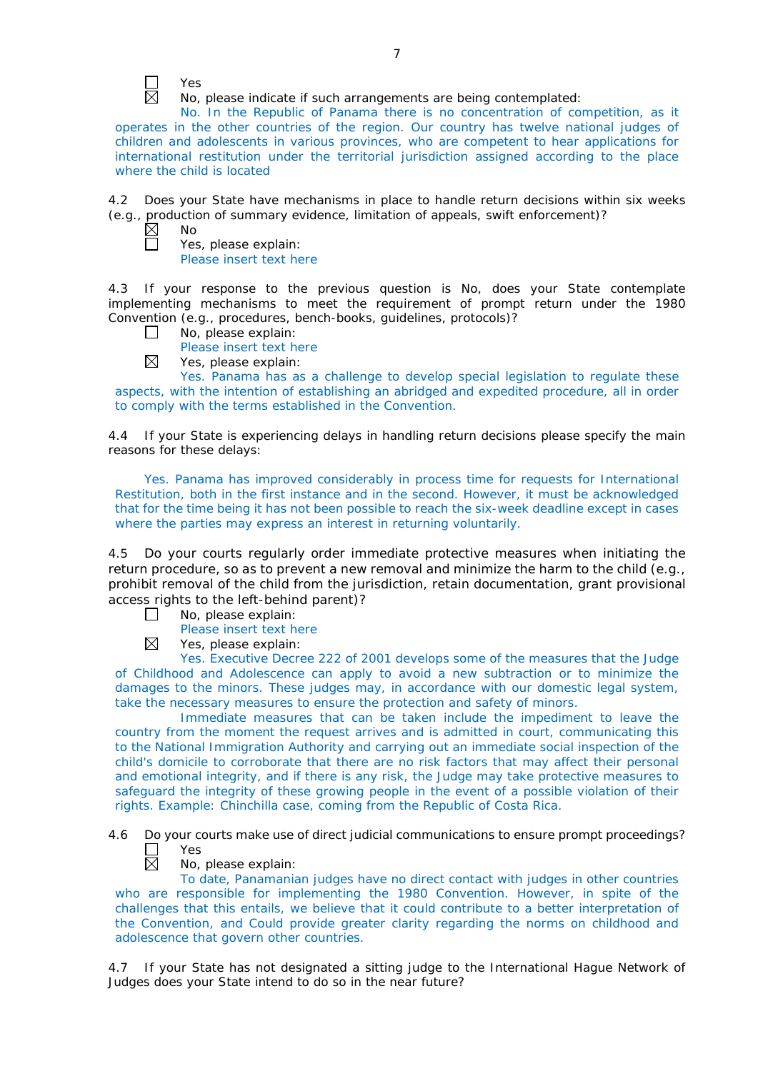

No, please indicate if such arrangements are being contemplated:

No. In the Republic of Panama there is no concentration of competition, as it operates in the other countries of the region. Our country has twelve national judges of children and adolescents in various provinces, who are competent to hear applications for international restitution under the territorial jurisdiction assigned according to the place where the child is located

4.2 Does your State have mechanisms in place to handle return decisions within six weeks (*e.g.*, production of summary evidence, limitation of appeals, swift enforcement)?

No Yes, please explain:

Please insert text here

4.3 If your response to the previous question is No, does your State contemplate implementing mechanisms to meet the requirement of prompt return under the 1980 Convention (*e.g.*, procedures, bench-books, guidelines, protocols)?

- $\Box$ No, please explain:
	- Please insert text here
- ⊠ Yes, please explain:

Yes. Panama has as a challenge to develop special legislation to regulate these aspects, with the intention of establishing an abridged and expedited procedure, all in order to comply with the terms established in the Convention.

4.4 If your State is experiencing delays in handling return decisions please specify the main reasons for these delays:

Yes. Panama has improved considerably in process time for requests for International Restitution, both in the first instance and in the second. However, it must be acknowledged that for the time being it has not been possible to reach the six-week deadline except in cases where the parties may express an interest in returning voluntarily.

4.5 Do your courts regularly order immediate protective measures when initiating the return procedure, so as to prevent a new removal and minimize the harm to the child (*e.g.*, prohibit removal of the child from the jurisdiction, retain documentation, grant provisional access rights to the left-behind parent)?

- $\Box$ No, please explain:
	- Please insert text here
- ⊠ Yes, please explain:

Yes. Executive Decree 222 of 2001 develops some of the measures that the Judge of Childhood and Adolescence can apply to avoid a new subtraction or to minimize the damages to the minors. These judges may, in accordance with our domestic legal system, take the necessary measures to ensure the protection and safety of minors.

Immediate measures that can be taken include the impediment to leave the country from the moment the request arrives and is admitted in court, communicating this to the National Immigration Authority and carrying out an immediate social inspection of the child's domicile to corroborate that there are no risk factors that may affect their personal and emotional integrity, and if there is any risk, the Judge may take protective measures to safeguard the integrity of these growing people in the event of a possible violation of their rights. Example: Chinchilla case, coming from the Republic of Costa Rica.

4.6 Do your courts make use of direct judicial communications to ensure prompt proceedings? Yes 岗

No, please explain:

To date, Panamanian judges have no direct contact with judges in other countries who are responsible for implementing the 1980 Convention. However, in spite of the challenges that this entails, we believe that it could contribute to a better interpretation of the Convention, and Could provide greater clarity regarding the norms on childhood and adolescence that govern other countries.

4.7 If your State has not designated a sitting judge to the International Hague Network of Judges does your State intend to do so in the near future?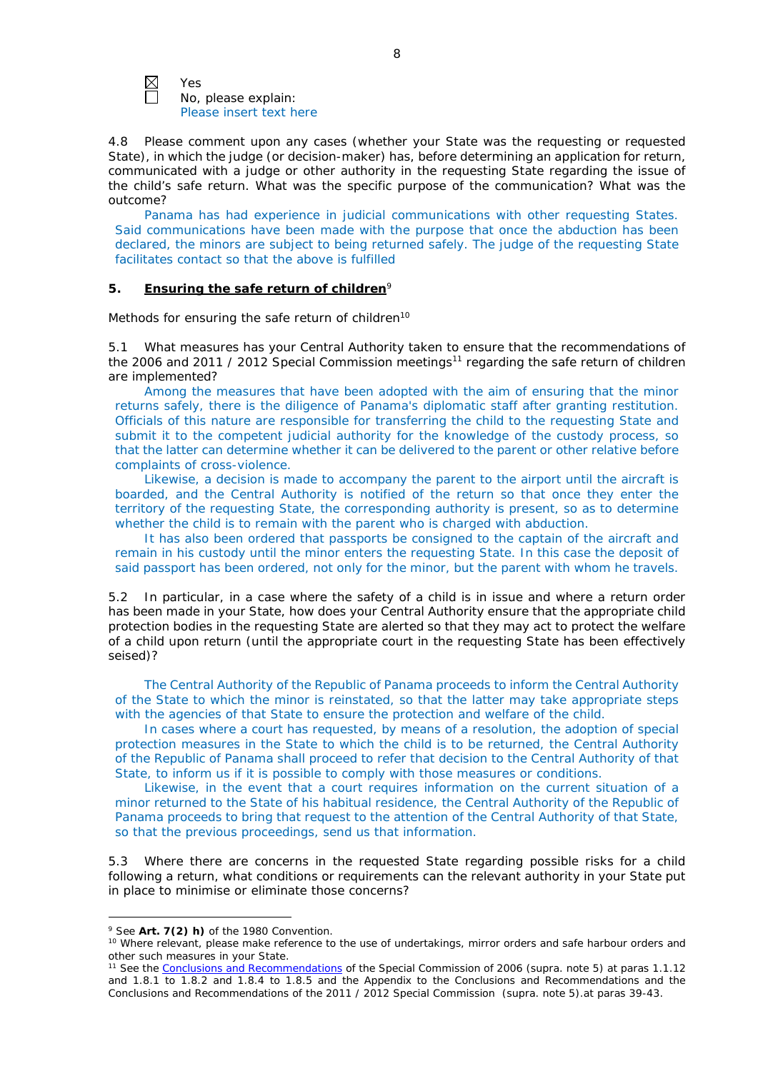

Yes No, please explain: Please insert text here

4.8 Please comment upon any cases (whether your State was the requesting or requested State), in which the judge (or decision-maker) has, before determining an application for return, communicated with a judge or other authority in the requesting State regarding the issue of the child's safe return. What was the specific purpose of the communication? What was the outcome?

Panama has had experience in judicial communications with other requesting States. Said communications have been made with the purpose that once the abduction has been declared, the minors are subject to being returned safely. The judge of the requesting State facilitates contact so that the above is fulfilled

## **5. Ensuring the safe return of children**<sup>9</sup>

*Methods for ensuring the safe return of children*<sup>10</sup>

5.1 What measures has your Central Authority taken to ensure that the recommendations of the 2006 and 2011 / 2012 Special Commission meetings<sup>11</sup> regarding the safe return of children are implemented?

Among the measures that have been adopted with the aim of ensuring that the minor returns safely, there is the diligence of Panama's diplomatic staff after granting restitution. Officials of this nature are responsible for transferring the child to the requesting State and submit it to the competent judicial authority for the knowledge of the custody process, so that the latter can determine whether it can be delivered to the parent or other relative before complaints of cross-violence.

Likewise, a decision is made to accompany the parent to the airport until the aircraft is boarded, and the Central Authority is notified of the return so that once they enter the territory of the requesting State, the corresponding authority is present, so as to determine whether the child is to remain with the parent who is charged with abduction.

It has also been ordered that passports be consigned to the captain of the aircraft and remain in his custody until the minor enters the requesting State. In this case the deposit of said passport has been ordered, not only for the minor, but the parent with whom he travels.

5.2 In particular, in a case where the safety of a child is in issue and where a return order has been made in your State, how does your Central Authority ensure that the appropriate child protection bodies in the *requesting* State are alerted so that they may act to protect the welfare of a child upon return (until the appropriate court in the requesting State has been effectively seised)?

The Central Authority of the Republic of Panama proceeds to inform the Central Authority of the State to which the minor is reinstated, so that the latter may take appropriate steps with the agencies of that State to ensure the protection and welfare of the child.

In cases where a court has requested, by means of a resolution, the adoption of special protection measures in the State to which the child is to be returned, the Central Authority of the Republic of Panama shall proceed to refer that decision to the Central Authority of that State, to inform us if it is possible to comply with those measures or conditions.

Likewise, in the event that a court requires information on the current situation of a minor returned to the State of his habitual residence, the Central Authority of the Republic of Panama proceeds to bring that request to the attention of the Central Authority of that State, so that the previous proceedings, send us that information.

5.3 Where there are concerns in the requested State regarding possible risks for a child following a return, what conditions or requirements can the relevant authority in your State put in place to minimise or eliminate those concerns?

-

<sup>9</sup> See **Art. 7(2)** *h)* of the 1980 Convention.

<sup>&</sup>lt;sup>10</sup> Where relevant, please make reference to the use of undertakings, mirror orders and safe harbour orders and other such measures in your State.

<sup>11</sup> See the [Conclusions and Recommendations](https://assets.hcch.net/upload/concl28sc5_e.pdf) of the Special Commission of 2006 (*supra.* note 5) at paras 1.1.12 and 1.8.1 to 1.8.2 and 1.8.4 to 1.8.5 and the Appendix to the Conclusions and Recommendations and the [Conclusions and Recommendations of the 2011](https://assets.hcch.net/upload/wop/concl28sc6_e.pdf) / 2012 Special Commission (*supra.* note 5).at paras 39-43.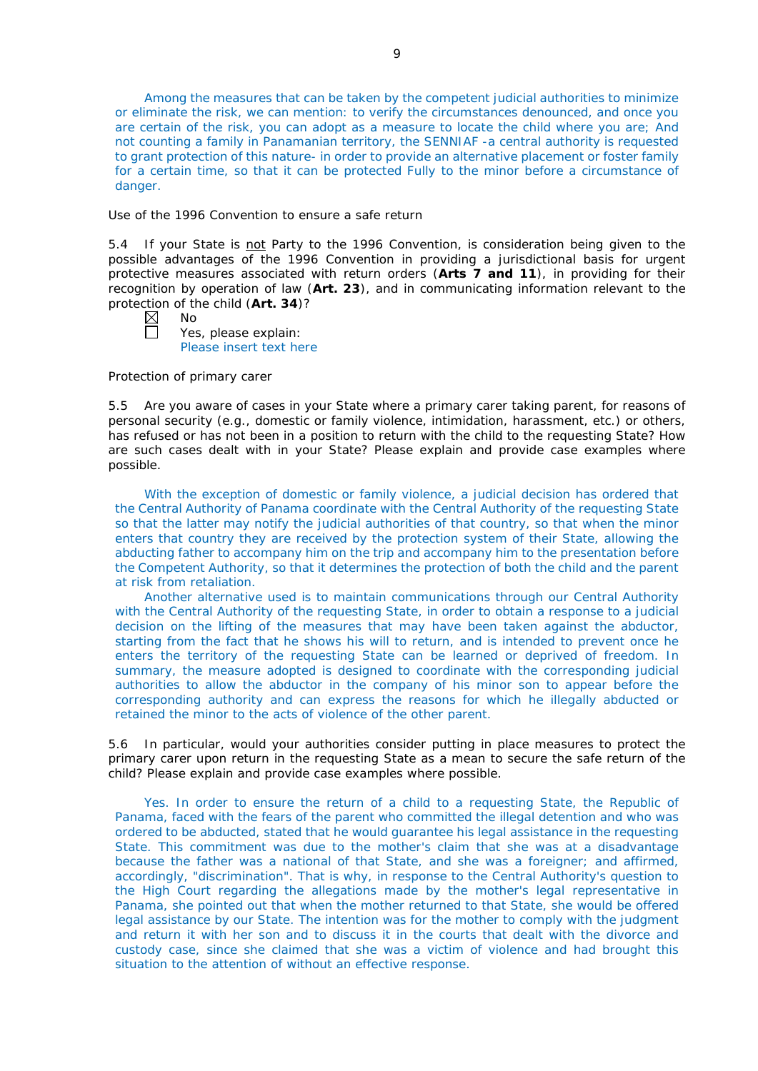Among the measures that can be taken by the competent judicial authorities to minimize or eliminate the risk, we can mention: to verify the circumstances denounced, and once you are certain of the risk, you can adopt as a measure to locate the child where you are; And not counting a family in Panamanian territory, the SENNIAF -a central authority is requested to grant protection of this nature- in order to provide an alternative placement or foster family for a certain time, so that it can be protected Fully to the minor before a circumstance of danger.

#### *Use of the 1996 Convention to ensure a safe return*

5.4 If your State is not Party to the 1996 Convention, is consideration being given to the possible advantages of the 1996 Convention in providing a jurisdictional basis for urgent protective measures associated with return orders (**Arts 7 and 11**), in providing for their recognition by operation of law (**Art. 23**), and in communicating information relevant to the protection of the child (**Art. 34**)?

| × | Nο  |  |
|---|-----|--|
|   | Voc |  |

Yes, please explain: Please insert text here

#### *Protection of primary carer*

5.5 Are you aware of cases in your State where a primary carer taking parent, for reasons of personal security (*e.g.*, domestic or family violence, intimidation, harassment, etc.) or others, has refused or has not been in a position to return with the child to the requesting State? How are such cases dealt with in your State? Please explain and provide case examples where possible.

With the exception of domestic or family violence, a judicial decision has ordered that the Central Authority of Panama coordinate with the Central Authority of the requesting State so that the latter may notify the judicial authorities of that country, so that when the minor enters that country they are received by the protection system of their State, allowing the abducting father to accompany him on the trip and accompany him to the presentation before the Competent Authority, so that it determines the protection of both the child and the parent at risk from retaliation.

Another alternative used is to maintain communications through our Central Authority with the Central Authority of the requesting State, in order to obtain a response to a judicial decision on the lifting of the measures that may have been taken against the abductor, starting from the fact that he shows his will to return, and is intended to prevent once he enters the territory of the requesting State can be learned or deprived of freedom. In summary, the measure adopted is designed to coordinate with the corresponding judicial authorities to allow the abductor in the company of his minor son to appear before the corresponding authority and can express the reasons for which he illegally abducted or retained the minor to the acts of violence of the other parent.

5.6 In particular, would your authorities consider putting in place measures to protect the primary carer upon return in the requesting State as a mean to secure the safe return of the child? Please explain and provide case examples where possible.

Yes. In order to ensure the return of a child to a requesting State, the Republic of Panama, faced with the fears of the parent who committed the illegal detention and who was ordered to be abducted, stated that he would guarantee his legal assistance in the requesting State. This commitment was due to the mother's claim that she was at a disadvantage because the father was a national of that State, and she was a foreigner; and affirmed, accordingly, "discrimination". That is why, in response to the Central Authority's question to the High Court regarding the allegations made by the mother's legal representative in Panama, she pointed out that when the mother returned to that State, she would be offered legal assistance by our State. The intention was for the mother to comply with the judgment and return it with her son and to discuss it in the courts that dealt with the divorce and custody case, since she claimed that she was a victim of violence and had brought this situation to the attention of without an effective response.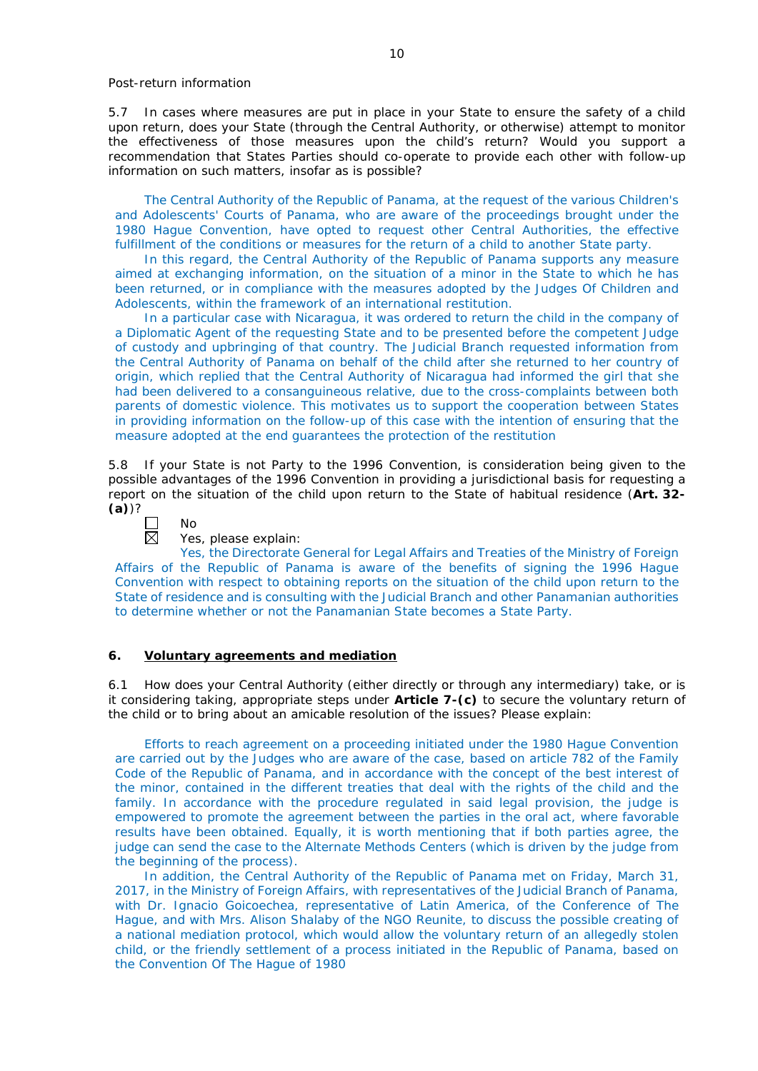5.7 In cases where measures are put in place in your State to ensure the safety of a child upon return, does your State (through the Central Authority, or otherwise) attempt to monitor the effectiveness of those measures upon the child's return? Would you support a recommendation that States Parties should co-operate to provide each other with follow-up information on such matters, insofar as is possible?

The Central Authority of the Republic of Panama, at the request of the various Children's and Adolescents' Courts of Panama, who are aware of the proceedings brought under the 1980 Hague Convention, have opted to request other Central Authorities, the effective fulfillment of the conditions or measures for the return of a child to another State party.

In this regard, the Central Authority of the Republic of Panama supports any measure aimed at exchanging information, on the situation of a minor in the State to which he has been returned, or in compliance with the measures adopted by the Judges Of Children and Adolescents, within the framework of an international restitution.

In a particular case with Nicaragua, it was ordered to return the child in the company of a Diplomatic Agent of the requesting State and to be presented before the competent Judge of custody and upbringing of that country. The Judicial Branch requested information from the Central Authority of Panama on behalf of the child after she returned to her country of origin, which replied that the Central Authority of Nicaragua had informed the girl that she had been delivered to a consanguineous relative, due to the cross-complaints between both parents of domestic violence. This motivates us to support the cooperation between States in providing information on the follow-up of this case with the intention of ensuring that the measure adopted at the end guarantees the protection of the restitution

5.8 If your State is not Party to the 1996 Convention, is consideration being given to the possible advantages of the 1996 Convention in providing a jurisdictional basis for requesting a report on the situation of the child upon return to the State of habitual residence (**Art. 32- (a)**)?



#### Yes, please explain:

Yes, the Directorate General for Legal Affairs and Treaties of the Ministry of Foreign Affairs of the Republic of Panama is aware of the benefits of signing the 1996 Hague Convention with respect to obtaining reports on the situation of the child upon return to the State of residence and is consulting with the Judicial Branch and other Panamanian authorities to determine whether or not the Panamanian State becomes a State Party.

## **6. Voluntary agreements and mediation**

6.1 How does your Central Authority (either directly or through any intermediary) take, or is it considering taking, appropriate steps under **Article 7-(c)** to secure the voluntary return of the child or to bring about an amicable resolution of the issues? Please explain:

Efforts to reach agreement on a proceeding initiated under the 1980 Hague Convention are carried out by the Judges who are aware of the case, based on article 782 of the Family Code of the Republic of Panama, and in accordance with the concept of the best interest of the minor, contained in the different treaties that deal with the rights of the child and the family. In accordance with the procedure regulated in said legal provision, the judge is empowered to promote the agreement between the parties in the oral act, where favorable results have been obtained. Equally, it is worth mentioning that if both parties agree, the judge can send the case to the Alternate Methods Centers (which is driven by the judge from the beginning of the process).

In addition, the Central Authority of the Republic of Panama met on Friday, March 31, 2017, in the Ministry of Foreign Affairs, with representatives of the Judicial Branch of Panama, with Dr. Ignacio Goicoechea, representative of Latin America, of the Conference of The Hague, and with Mrs. Alison Shalaby of the NGO Reunite, to discuss the possible creating of a national mediation protocol, which would allow the voluntary return of an allegedly stolen child, or the friendly settlement of a process initiated in the Republic of Panama, based on the Convention Of The Hague of 1980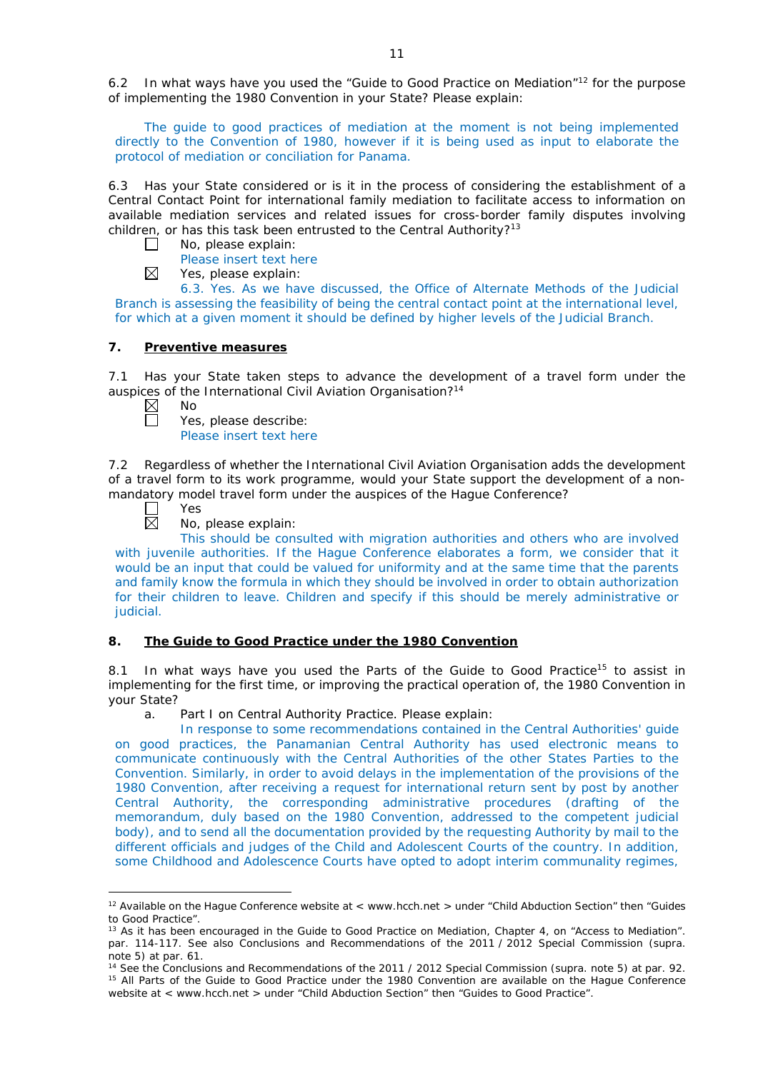6.2 In what ways have you used the "Guide to Good Practice on Mediation"<sup>12</sup> for the purpose of implementing the 1980 Convention in your State? Please explain:

The guide to good practices of mediation at the moment is not being implemented directly to the Convention of 1980, however if it is being used as input to elaborate the protocol of mediation or conciliation for Panama.

6.3 Has your State considered or is it in the process of considering the establishment of a Central Contact Point for international family mediation to facilitate access to information on available mediation services and related issues for cross-border family disputes involving children, or has this task been entrusted to the Central Authority?<sup>13</sup>

- No, please explain:  $\Box$ 
	- Please insert text here
- $\boxtimes$ Yes, please explain:

6.3. Yes. As we have discussed, the Office of Alternate Methods of the Judicial Branch is assessing the feasibility of being the central contact point at the international level, for which at a given moment it should be defined by higher levels of the Judicial Branch.

## **7. Preventive measures**

7.1 Has your State taken steps to advance the development of a travel form under the auspices of the International Civil Aviation Organisation?<sup>14</sup><br>  $\boxtimes$  No<br>
Yes, please describe:

- No
	- Yes, please describe:

Please insert text here

7.2 Regardless of whether the International Civil Aviation Organisation adds the development of a travel form to its work programme, would your State support the development of a nonmandatory model travel form under the auspices of the Hague Conference?

 $\Box$ 

Yes

No, please explain:

This should be consulted with migration authorities and others who are involved with juvenile authorities. If the Hague Conference elaborates a form, we consider that it would be an input that could be valued for uniformity and at the same time that the parents and family know the formula in which they should be involved in order to obtain authorization for their children to leave. Children and specify if this should be merely administrative or judicial.

## **8. The Guide to Good Practice under the 1980 Convention**

8.1 In what ways have you used the Parts of the Guide to Good Practice<sup>15</sup> to assist in implementing for the first time, or improving the practical operation of, the 1980 Convention in your State?

a. Part I on Central Authority Practice. Please explain:

In response to some recommendations contained in the Central Authorities' guide on good practices, the Panamanian Central Authority has used electronic means to communicate continuously with the Central Authorities of the other States Parties to the Convention. Similarly, in order to avoid delays in the implementation of the provisions of the 1980 Convention, after receiving a request for international return sent by post by another Central Authority, the corresponding administrative procedures (drafting of the memorandum, duly based on the 1980 Convention, addressed to the competent judicial body), and to send all the documentation provided by the requesting Authority by mail to the different officials and judges of the Child and Adolescent Courts of the country. In addition, some Childhood and Adolescence Courts have opted to adopt interim communality regimes,

<sup>&</sup>lt;u>.</u> <sup>12</sup> Available on the Hague Conference website at < www.hcch.net > under "Child Abduction Section" then "Guides to Good Practice".

<sup>&</sup>lt;sup>13</sup> As it has been encouraged in the Guide to Good Practice on Mediation, Chapter 4, on "Access to Mediation". par. 114-117. See also [Conclusions and Recommendations of the 2011](https://assets.hcch.net/upload/wop/concl28sc6_e.pdf) / 2012 Special Commission (*supra.* note 5) at par. 61.

<sup>14</sup> See the [Conclusions and Recommendations of the 2011](https://assets.hcch.net/upload/wop/concl28sc6_e.pdf) / 2012 Special Commission (*supra.* note 5) at par. 92. <sup>15</sup> All Parts of the Guide to Good Practice under the 1980 Convention are available on the Hague Conference website at < www.hcch.net > under "Child Abduction Section" then "Guides to Good Practice".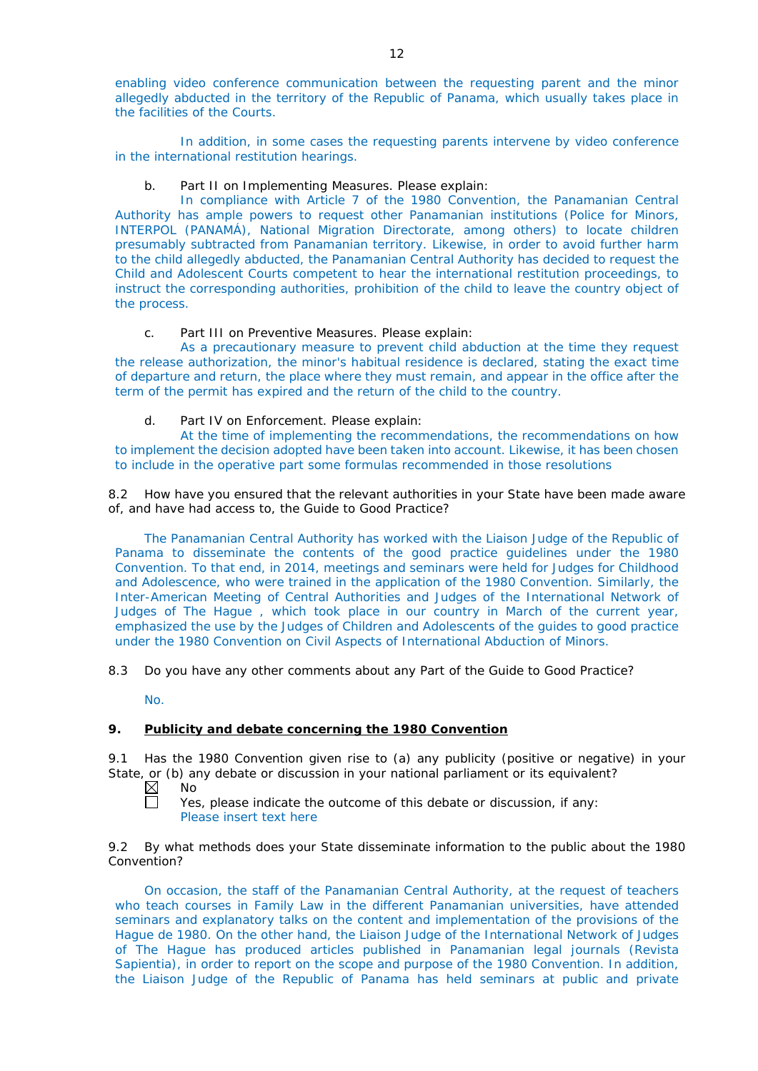enabling video conference communication between the requesting parent and the minor allegedly abducted in the territory of the Republic of Panama, which usually takes place in the facilities of the Courts.

In addition, in some cases the requesting parents intervene by video conference in the international restitution hearings.

## b. Part II on Implementing Measures. Please explain:

In compliance with Article 7 of the 1980 Convention, the Panamanian Central Authority has ample powers to request other Panamanian institutions (Police for Minors, INTERPOL (PANAMÁ), National Migration Directorate, among others) to locate children presumably subtracted from Panamanian territory. Likewise, in order to avoid further harm to the child allegedly abducted, the Panamanian Central Authority has decided to request the Child and Adolescent Courts competent to hear the international restitution proceedings, to instruct the corresponding authorities, prohibition of the child to leave the country object of the process.

## c. Part III on Preventive Measures. Please explain:

As a precautionary measure to prevent child abduction at the time they request the release authorization, the minor's habitual residence is declared, stating the exact time of departure and return, the place where they must remain, and appear in the office after the term of the permit has expired and the return of the child to the country.

## d. Part IV on Enforcement. Please explain:

At the time of implementing the recommendations, the recommendations on how to implement the decision adopted have been taken into account. Likewise, it has been chosen to include in the operative part some formulas recommended in those resolutions

8.2 How have you ensured that the relevant authorities in your State have been made aware of, and have had access to, the Guide to Good Practice?

The Panamanian Central Authority has worked with the Liaison Judge of the Republic of Panama to disseminate the contents of the good practice guidelines under the 1980 Convention. To that end, in 2014, meetings and seminars were held for Judges for Childhood and Adolescence, who were trained in the application of the 1980 Convention. Similarly, the Inter-American Meeting of Central Authorities and Judges of the International Network of Judges of The Hague , which took place in our country in March of the current year, emphasized the use by the Judges of Children and Adolescents of the guides to good practice under the 1980 Convention on Civil Aspects of International Abduction of Minors.

8.3 Do you have any other comments about any Part of the Guide to Good Practice?

No.

## **9. Publicity and debate concerning the 1980 Convention**

9.1 Has the 1980 Convention given rise to (a) any publicity (positive or negative) in your State, or (b) any debate or discussion in your national parliament or its equivalent?

 $\boxtimes$ No

 $\Box$ Yes, please indicate the outcome of this debate or discussion, if any: Please insert text here

9.2 By what methods does your State disseminate information to the public about the 1980 Convention?

On occasion, the staff of the Panamanian Central Authority, at the request of teachers who teach courses in Family Law in the different Panamanian universities, have attended seminars and explanatory talks on the content and implementation of the provisions of the Hague de 1980. On the other hand, the Liaison Judge of the International Network of Judges of The Hague has produced articles published in Panamanian legal journals (Revista Sapientia), in order to report on the scope and purpose of the 1980 Convention. In addition, the Liaison Judge of the Republic of Panama has held seminars at public and private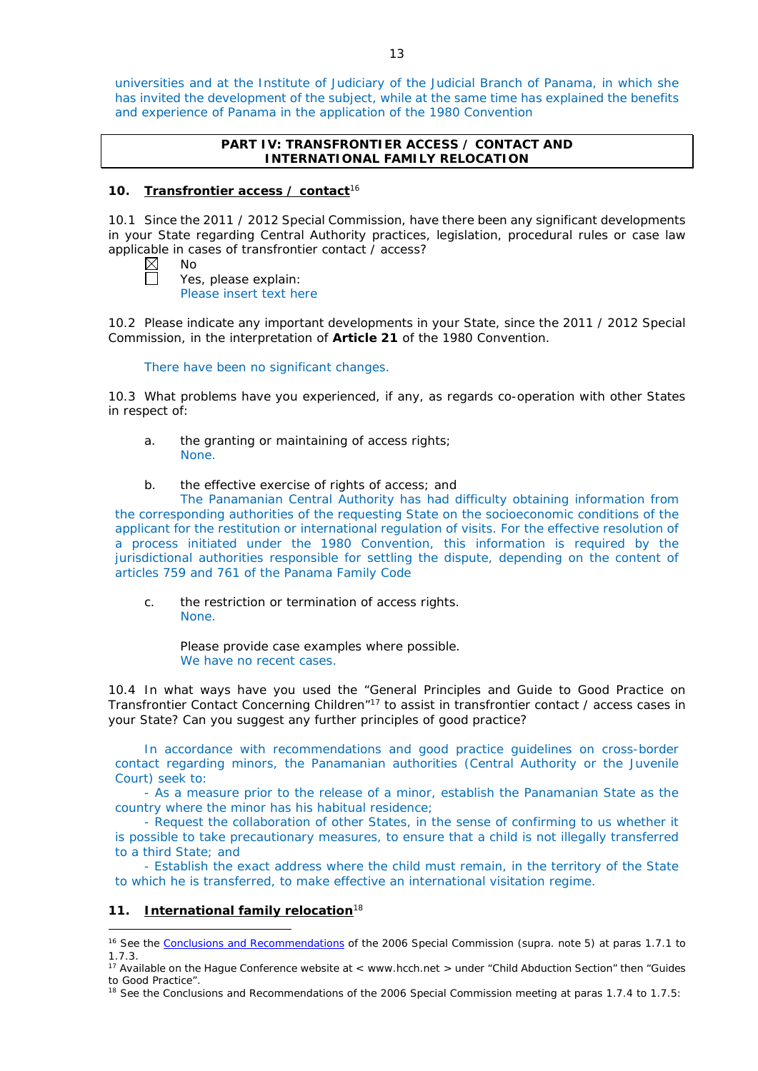universities and at the Institute of Judiciary of the Judicial Branch of Panama, in which she has invited the development of the subject, while at the same time has explained the benefits and experience of Panama in the application of the 1980 Convention

## **PART IV: TRANSFRONTIER ACCESS / CONTACT AND INTERNATIONAL FAMILY RELOCATION**

## **10. Transfrontier access / contact**<sup>16</sup>

10.1 Since the 2011 / 2012 Special Commission, have there been any significant developments in your State regarding Central Authority practices, legislation, procedural rules or case law applicable in cases of transfrontier contact / access?

| NΩ |  |
|----|--|
|    |  |

Yes, please explain: Please insert text here

10.2 Please indicate any important developments in your State, since the 2011 / 2012 Special Commission, in the interpretation of **Article 21** of the 1980 Convention.

There have been no significant changes.

10.3 What problems have you experienced, if any, as regards co-operation with other States in respect of:

- a. the granting or maintaining of access rights; None.
- b. the effective exercise of rights of access; and

The Panamanian Central Authority has had difficulty obtaining information from the corresponding authorities of the requesting State on the socioeconomic conditions of the applicant for the restitution or international regulation of visits. For the effective resolution of a process initiated under the 1980 Convention, this information is required by the jurisdictional authorities responsible for settling the dispute, depending on the content of articles 759 and 761 of the Panama Family Code

c. the restriction or termination of access rights. None.

> Please provide case examples where possible. We have no recent cases.

10.4 In what ways have you used the "General Principles and Guide to Good Practice on Transfrontier Contact Concerning Children"17 to assist in transfrontier contact / access cases in your State? Can you suggest any further principles of good practice?

In accordance with recommendations and good practice guidelines on cross-border contact regarding minors, the Panamanian authorities (Central Authority or the Juvenile Court) seek to:

- As a measure prior to the release of a minor, establish the Panamanian State as the country where the minor has his habitual residence;

- Request the collaboration of other States, in the sense of confirming to us whether it is possible to take precautionary measures, to ensure that a child is not illegally transferred to a third State; and

- Establish the exact address where the child must remain, in the territory of the State to which he is transferred, to make effective an international visitation regime.

# **11. International family relocation**<sup>18</sup>

-<sup>16</sup> See the [Conclusions and Recommendations](https://assets.hcch.net/upload/concl28sc5_e.pdf) of the 2006 Special Commission (*supra.* note 5) at paras 1.7.1 to 1.7.3.

<sup>&</sup>lt;sup>17</sup> Available on the Hague Conference website at < www.hcch.net > under "Child Abduction Section" then "Guides to Good Practice".

<sup>&</sup>lt;sup>18</sup> See the Conclusions and Recommendations of the 2006 Special Commission meeting at paras 1.7.4 to 1.7.5: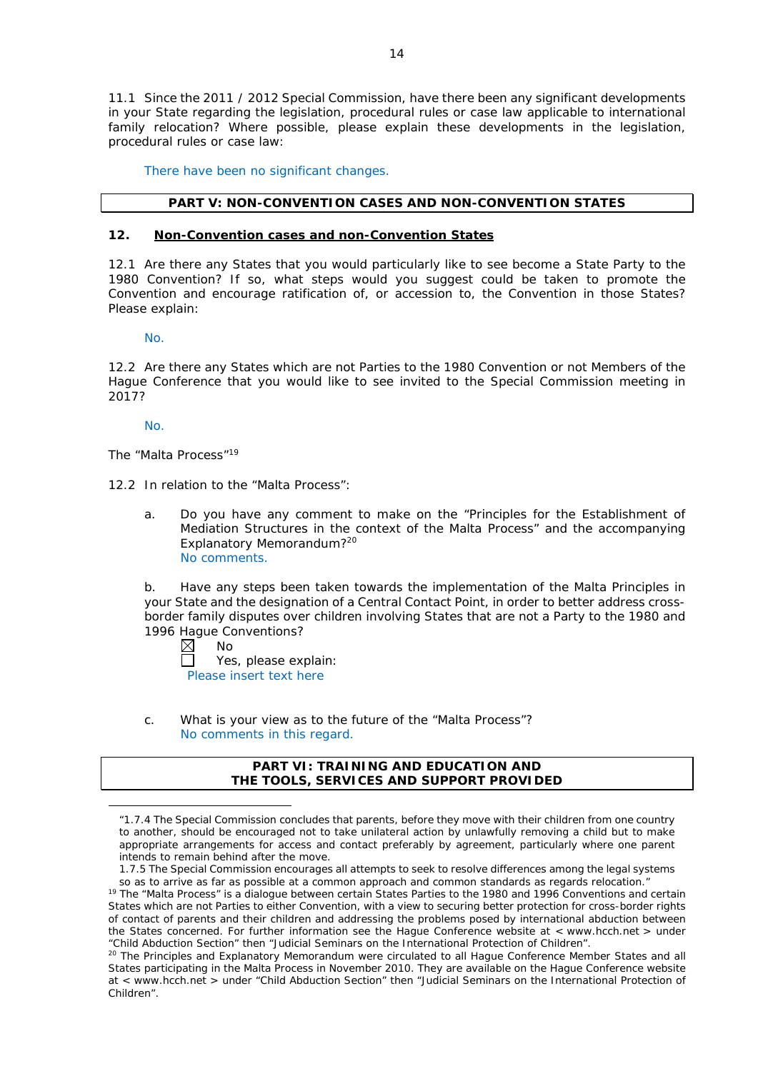11.1 Since the 2011 / 2012 Special Commission, have there been any significant developments in your State regarding the legislation, procedural rules or case law applicable to international family relocation? Where possible, please explain these developments in the legislation, procedural rules or case law:

There have been no significant changes.

# **PART V: NON-CONVENTION CASES AND NON-CONVENTION STATES**

# **12. Non-Convention cases and non-Convention States**

12.1 Are there any States that you would particularly like to see become a State Party to the 1980 Convention? If so, what steps would you suggest could be taken to promote the Convention and encourage ratification of, or accession to, the Convention in those States? Please explain:

No.

12.2 Are there any States which are not Parties to the 1980 Convention or not Members of the Hague Conference that you would like to see invited to the Special Commission meeting in 2017?

No.

<u>.</u>

*The "Malta Process"*<sup>19</sup>

12.2 In relation to the "Malta Process":

a. Do you have any comment to make on the "Principles for the Establishment of Mediation Structures in the context of the Malta Process" and the accompanying Explanatory Memorandum?20 No comments.

b. Have any steps been taken towards the implementation of the Malta Principles in your State and the designation of a Central Contact Point, in order to better address crossborder family disputes over children involving States that are not a Party to the 1980 and 1996 Hague Conventions?

 $\boxtimes$ No

Yes, please explain: Please insert text here

c. What is your view as to the future of the "Malta Process"? No comments in this regard.

## **PART VI: TRAINING AND EDUCATION AND THE TOOLS, SERVICES AND SUPPORT PROVIDED**

*<sup>&</sup>quot;*1.7.4 The Special Commission concludes that parents, before they move with their children from one country to another, should be encouraged not to take unilateral action by unlawfully removing a child but to make appropriate arrangements for access and contact preferably by agreement, particularly where one parent intends to remain behind after the move.

<sup>1.7.5</sup> The Special Commission encourages all attempts to seek to resolve differences among the legal systems so as to arrive as far as possible at a common approach and common standards as regards relocation." <sup>19</sup> The "Malta Process" is a dialogue between certain States Parties to the 1980 and 1996 Conventions and certain States which are not Parties to either Convention, with a view to securing better protection for cross-border rights of contact of parents and their children and addressing the problems posed by international abduction between the States concerned. For further information see the Hague Conference website at < www.hcch.net > under "Child Abduction Section" then "Judicial Seminars on the International Protection of Children".

<sup>&</sup>lt;sup>20</sup> The Principles and Explanatory Memorandum were circulated to all Hague Conference Member States and all States participating in the Malta Process in November 2010. They are available on the Hague Conference website at < www.hcch.net > under "Child Abduction Section" then "Judicial Seminars on the International Protection of Children".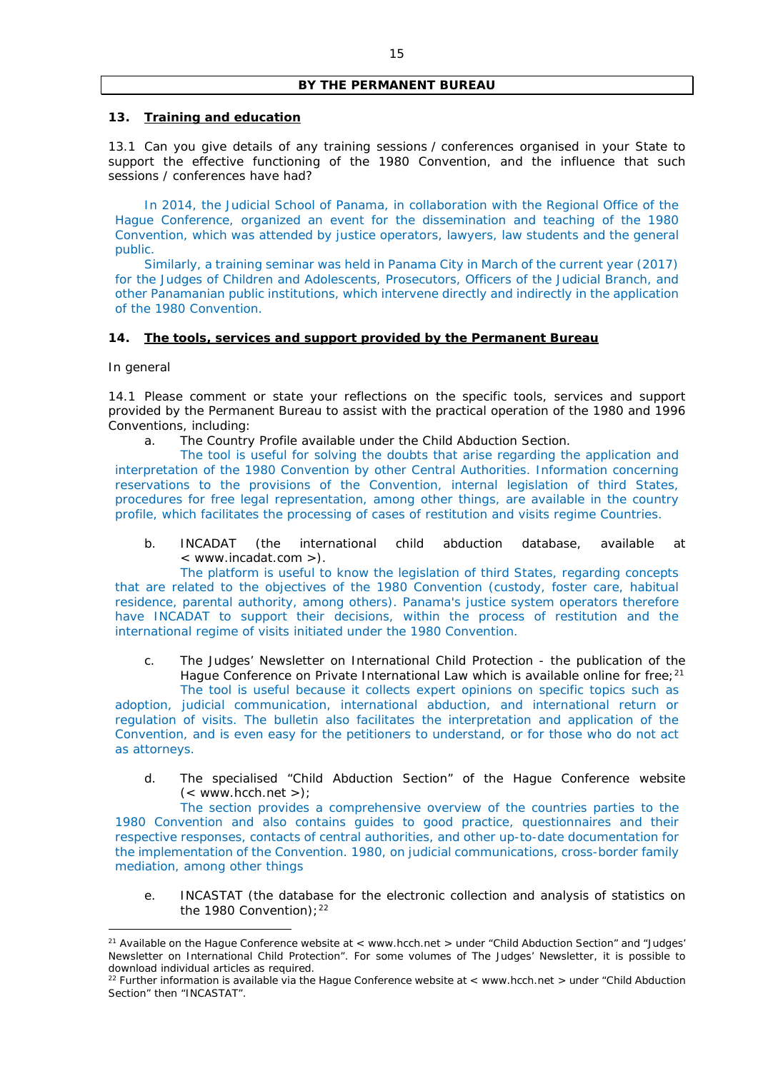## **BY THE PERMANENT BUREAU**

## **13. Training and education**

13.1 Can you give details of any training sessions / conferences organised in your State to support the effective functioning of the 1980 Convention, and the influence that such sessions / conferences have had?

In 2014, the Judicial School of Panama, in collaboration with the Regional Office of the Hague Conference, organized an event for the dissemination and teaching of the 1980 Convention, which was attended by justice operators, lawyers, law students and the general public.

Similarly, a training seminar was held in Panama City in March of the current year (2017) for the Judges of Children and Adolescents, Prosecutors, Officers of the Judicial Branch, and other Panamanian public institutions, which intervene directly and indirectly in the application of the 1980 Convention.

## **14. The tools, services and support provided by the Permanent Bureau**

#### *In general*

-

14.1 Please comment or state your reflections on the specific tools, services and support provided by the Permanent Bureau to assist with the practical operation of the 1980 and 1996 Conventions, including:

a. The Country Profile available under the Child Abduction Section.

The tool is useful for solving the doubts that arise regarding the application and interpretation of the 1980 Convention by other Central Authorities. Information concerning reservations to the provisions of the Convention, internal legislation of third States, procedures for free legal representation, among other things, are available in the country profile, which facilitates the processing of cases of restitution and visits regime Countries.

b. INCADAT (the international child abduction database, available at < www.incadat.com >).

The platform is useful to know the legislation of third States, regarding concepts that are related to the objectives of the 1980 Convention (custody, foster care, habitual residence, parental authority, among others). Panama's justice system operators therefore have INCADAT to support their decisions, within the process of restitution and the international regime of visits initiated under the 1980 Convention.

c. *The Judges' Newsletter* on International Child Protection - the publication of the Hague Conference on Private International Law which is available online for free;<sup>21</sup>

The tool is useful because it collects expert opinions on specific topics such as adoption, judicial communication, international abduction, and international return or regulation of visits. The bulletin also facilitates the interpretation and application of the Convention, and is even easy for the petitioners to understand, or for those who do not act as attorneys.

d. The specialised "Child Abduction Section" of the Hague Conference website  $(<$  www.hcch.net >);

The section provides a comprehensive overview of the countries parties to the 1980 Convention and also contains guides to good practice, questionnaires and their respective responses, contacts of central authorities, and other up-to-date documentation for the implementation of the Convention. 1980, on judicial communications, cross-border family mediation, among other things

e. INCASTAT (the database for the electronic collection and analysis of statistics on the 1980 Convention);  $22$ 

<sup>&</sup>lt;sup>21</sup> Available on the Hague Conference website at  $\epsilon$  www.hcch.net  $\epsilon$  under "Child Abduction Section" and "Judges" Newsletter on International Child Protection". For some volumes of *The Judges' Newsletter*, it is possible to download individual articles as required.

<sup>&</sup>lt;sup>22</sup> Further information is available via the Hague Conference website at < www.hcch.net > under "Child Abduction Section" then "INCASTAT".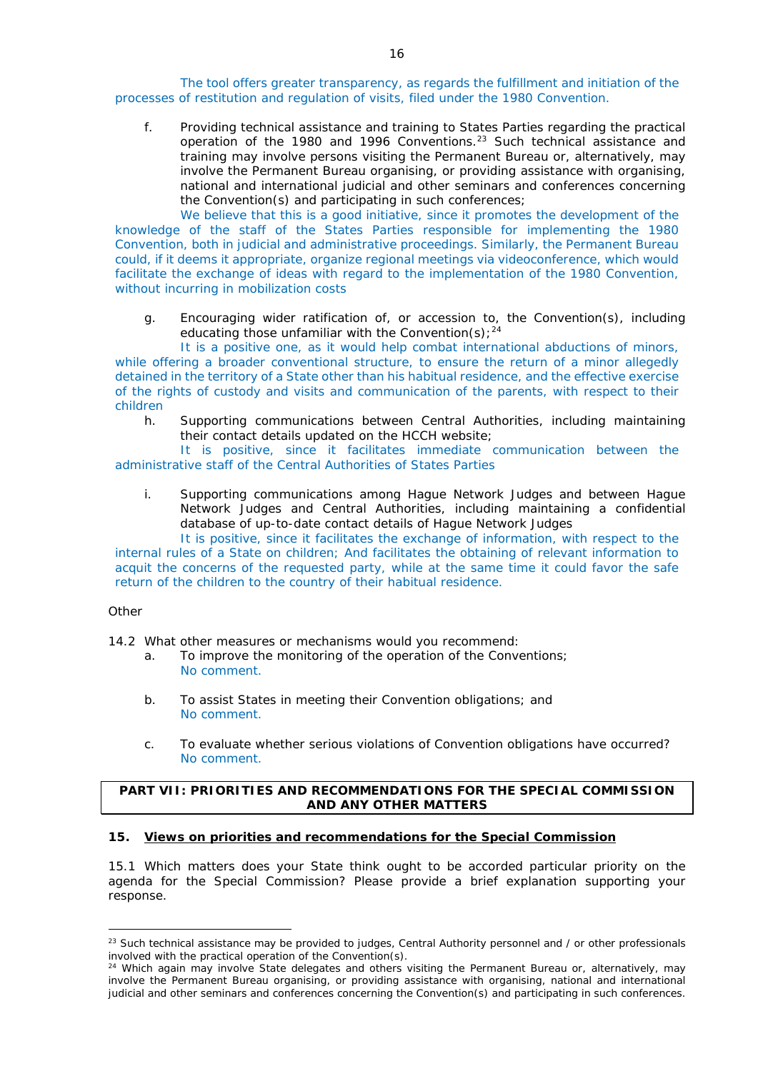The tool offers greater transparency, as regards the fulfillment and initiation of the processes of restitution and regulation of visits, filed under the 1980 Convention.

f. Providing technical assistance and training to States Parties regarding the practical operation of the 1980 and 1996 Conventions.<sup>23</sup> Such technical assistance and training may involve persons visiting the Permanent Bureau or, alternatively, may involve the Permanent Bureau organising, or providing assistance with organising, national and international judicial and other seminars and conferences concerning the Convention(s) and participating in such conferences;

We believe that this is a good initiative, since it promotes the development of the knowledge of the staff of the States Parties responsible for implementing the 1980 Convention, both in judicial and administrative proceedings. Similarly, the Permanent Bureau could, if it deems it appropriate, organize regional meetings via videoconference, which would facilitate the exchange of ideas with regard to the implementation of the 1980 Convention, without incurring in mobilization costs

g. Encouraging wider ratification of, or accession to, the Convention(s), including educating those unfamiliar with the Convention(s):  $24$ 

It is a positive one, as it would help combat international abductions of minors, while offering a broader conventional structure, to ensure the return of a minor allegedly detained in the territory of a State other than his habitual residence, and the effective exercise of the rights of custody and visits and communication of the parents, with respect to their children

h. Supporting communications between Central Authorities, including maintaining their contact details updated on the HCCH website;

It is positive, since it facilitates immediate communication between the administrative staff of the Central Authorities of States Parties

i. Supporting communications among Hague Network Judges and between Hague Network Judges and Central Authorities, including maintaining a confidential database of up-to-date contact details of Hague Network Judges

It is positive, since it facilitates the exchange of information, with respect to the internal rules of a State on children; And facilitates the obtaining of relevant information to acquit the concerns of the requested party, while at the same time it could favor the safe return of the children to the country of their habitual residence.

## *Other*

-

14.2 What other measures or mechanisms would you recommend:

- a. To improve the monitoring of the operation of the Conventions; No comment.
- b. To assist States in meeting their Convention obligations; and No comment.
- c. To evaluate whether serious violations of Convention obligations have occurred? No comment.

# **PART VII: PRIORITIES AND RECOMMENDATIONS FOR THE SPECIAL COMMISSION AND ANY OTHER MATTERS**

# **15. Views on priorities and recommendations for the Special Commission**

15.1 Which matters does your State think ought to be accorded particular priority on the agenda for the Special Commission? Please provide a brief explanation supporting your response.

<sup>&</sup>lt;sup>23</sup> Such technical assistance may be provided to judges, Central Authority personnel and / or other professionals involved with the practical operation of the Convention(s).

<sup>&</sup>lt;sup>24</sup> Which again may involve State delegates and others visiting the Permanent Bureau or, alternatively, may involve the Permanent Bureau organising, or providing assistance with organising, national and international judicial and other seminars and conferences concerning the Convention(s) and participating in such conferences.